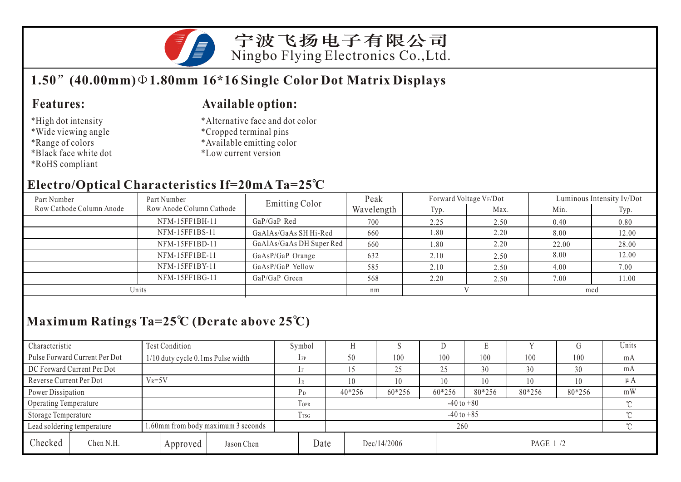

宁波飞扬电子有限公司 Ningbo Flying Electronics Co.,Ltd.

### **1.50 (40.00mm) 1.80mm 16\*16 Single Color Dot Matrix Displays**

#### **Features:**

- \*High dot intensity
- \*Wide viewing angle
- \*Range of colors
- \*Black face white dot
- \*RoHS compliant

#### **Available option:**

- \*Alternative face and dot color
- \*Cropped terminal pins
- \*Available emitting color
- \*Low current version

#### **Electro/Optical Characteristics If=20mA Ta=25 C**

| Part Number              | Part Number              | Emitting Color           | Peak       | Forward Voltage VF/Dot |      | Luminous Intensity Iv/Dot |       |  |
|--------------------------|--------------------------|--------------------------|------------|------------------------|------|---------------------------|-------|--|
| Row Cathode Column Anode | Row Anode Column Cathode |                          | Wavelength | Typ.                   | Max. | Min.                      | Typ.  |  |
|                          | NFM-15FF1BH-11           | GaP/GaP Red              | 700        | 2.25                   | 2.50 | 0.40                      | 0.80  |  |
|                          | NFM-15FF1BS-11           | GaAlAs/GaAs SH Hi-Red    | 660        | 1.80                   | 2.20 | 8.00                      | 12.00 |  |
|                          | NFM-15FF1BD-11           | GaAlAs/GaAs DH Super Red | 660        | $\frac{1.80}{2}$       | 2.20 | 22.00                     | 28.00 |  |
|                          | NFM-15FF1BE-11           | GaAsP/GaP Orange         | 632        | 2.10                   | 2.50 | 8.00                      | 12.00 |  |
|                          | NFM-15FF1BY-11           | GaAsP/GaP Yellow         | 585        | 2.10                   | 2.50 | 4.00                      | 7.00  |  |
|                          | NFM-15FF1BG-11           | GaP/GaP Green            | 568        | 2.20                   | 2.50 | 7.00                      | 11.00 |  |
| Units                    |                          |                          | nm         |                        |      | mcd                       |       |  |

# **Maximum Ratings Ta=25 C (Derate above 25 C)**

| Characteristic               |                                    | <b>Test Condition</b>             |                  |                            |                | Symbol |          |             |        |          |        |         | Units |
|------------------------------|------------------------------------|-----------------------------------|------------------|----------------------------|----------------|--------|----------|-------------|--------|----------|--------|---------|-------|
|                              | Pulse Forward Current Per Dot      | 1/10 duty cycle 0.1ms Pulse width |                  |                            |                | $1$ FP | 50       | 100         | 100    | 100      | 100    | 100     | mA    |
|                              | DC Forward Current Per Dot         |                                   |                  |                            |                |        |          | 25          | 25     | 30       | 30     | 30      | mA    |
| Reverse Current Per Dot      |                                    | $V_R = 5V$                        |                  |                            |                | 10     | 10       | 10          | 10     | 10       | 10     | $\mu A$ |       |
|                              | Power Dissipation                  |                                   |                  | P <sub>D</sub>             | 40*256         | 60*256 | 60*256   | 80*256      | 80*256 | 80*256   | mW     |         |       |
| <b>Operating Temperature</b> |                                    |                                   |                  | <b>TOPR</b>                | $-40$ to $+80$ |        |          |             |        |          | $\sim$ |         |       |
| Storage Temperature          |                                    |                                   | T <sub>TSG</sub> | $-40$ to $+85$<br>$\gamma$ |                |        |          |             |        |          |        |         |       |
| Lead soldering temperature   | 1.60mm from body maximum 3 seconds |                                   |                  |                            |                |        | $\gamma$ |             |        |          |        |         |       |
| Checked                      | Chen N.H.                          |                                   | Approved         | Jason Chen                 | Date           |        |          | Dec/14/2006 |        | PAGE 1/2 |        |         |       |